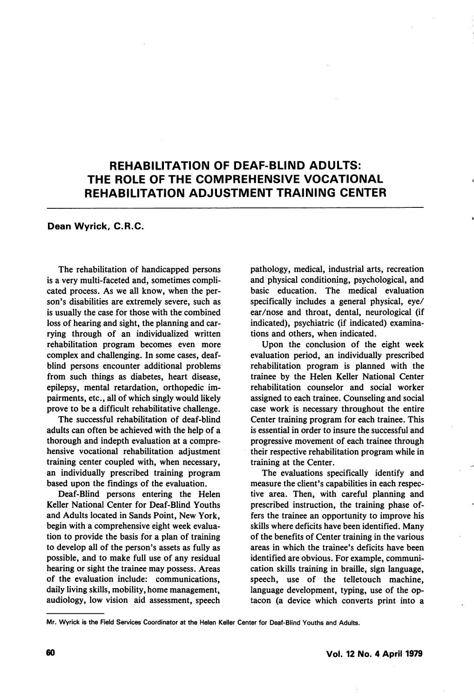## REHABILITATION OF DEAF-BLIND ADULTS: THE ROLE OF THE COMPREHENSIVE VOCATIONAL REHABILITATION ADJUSTMENT TRAINING CENTER

## Dean Wyrick, C.R.C.

The rehabilitation of handicapped persons is a very multi-faceted and, sometimes compli cated process. As we all know, when the per son's disabilities are extremely severe, such as is usually the case for those with the combined loss of hearing and sight, the planning and car rying through of an individualized written rehabilitation program becomes even more complex and challenging. In some cases, deafblind persons encounter additional problems from such things as diabetes, heart disease, epilepsy, mental retardation, orthopedic im pairments, etc., all of which singly would likely prove to be a difficult rehabilitative challenge.

The successful rehabilitation of deaf-blind adults can often be achieved with the help of a thorough and indepth evaluation at a compre hensive vocational rehabilitation adjustment training center coupled with, when necessary, an individually prescribed training program based upon the findings of the evaluation.

Deaf-Blind persons entering the Helen Keller National Center for Deaf-Blind Youths and Adults located in Sands Point, New York, begin with a comprehensive eight week evalua tion to provide the basis for a plan of training to develop all of the person's assets as fully as possible, and to make full use of any residual hearing or sight the trainee may possess. Areas of the evaluation include: communications, daily living skills, mobility, home management, audiology, low vision aid assessment, speech pathology, medical, industrial arts, recreation and physical conditioning, psychological, and basic education. The medical evaluation specifically includes a general physical, eye/ ear/nose and throat, dental, neurological (if indicated), psychiatric (if indicated) examina tions and others, when indicated.

Upon the conclusion of the eight week evaluation period, an individually prescribed rehabilitation program is planned with the trainee by the Helen Keller National Center rehabilitation counselor and social worker assigned to each trainee. Counseling and social case work is necessary throughout the entire Center training program for each trainee. This is essential in order to insure the successful and progressive movement of each trainee through their respective rehabilitation program while in training at the Center.

The evaluations specifically identify and measure the client's capabilities in each respec tive area. Then, with careful planning and prescribed instruction, the training phase of fers the trainee an opportunity to improve his skills where deficits have been identified. Many of the benefits of Center training in the various areas in which the trainee's deficits have been identified are obvious. For example, communi cation skills training in braille, sign language, speech, use of the telletouch machine, language development, typing, use of the optacon (a device which converts print into a

Mr. Wyrick is the Field Services Coordinator at the Helen Keller Center for Deaf-Blind Youths and Adults.